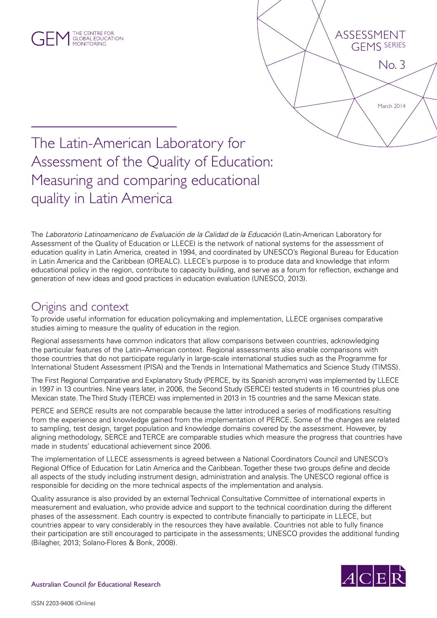



The Latin-American Laboratory for Assessment of the Quality of Education: Measuring and comparing educational quality in Latin America

The Laboratorio Latinoamericano de Evaluación de la Calidad de la Educación (Latin-American Laboratory for Assessment of the Quality of Education or LLECE) is the network of national systems for the assessment of education quality in Latin America, created in 1994, and coordinated by UNESCO's Regional Bureau for Education in Latin America and the Caribbean (OREALC). LLECE's purpose is to produce data and knowledge that inform educational policy in the region, contribute to capacity building, and serve as a forum for reflection, exchange and generation of new ideas and good practices in education evaluation (UNESCO, 2013).

# Origins and context

To provide useful information for education policymaking and implementation, LLECE organises comparative studies aiming to measure the quality of education in the region.

Regional assessments have common indicators that allow comparisons between countries, acknowledging the particular features of the Latin–American context. Regional assessments also enable comparisons with those countries that do not participate regularly in large-scale international studies such as the Programme for International Student Assessment (PISA) and the Trends in International Mathematics and Science Study (TIMSS).

The First Regional Comparative and Explanatory Study (PERCE, by its Spanish acronym) was implemented by LLECE in 1997 in 13 countries. Nine years later, in 2006, the Second Study (SERCE) tested students in 16 countries plus one Mexican state. The Third Study (TERCE) was implemented in 2013 in 15 countries and the same Mexican state.

PERCE and SERCE results are not comparable because the latter introduced a series of modifications resulting from the experience and knowledge gained from the implementation of PERCE. Some of the changes are related to sampling, test design, target population and knowledge domains covered by the assessment. However, by aligning methodology, SERCE and TERCE are comparable studies which measure the progress that countries have made in students' educational achievement since 2006.

The implementation of LLECE assessments is agreed between a National Coordinators Council and UNESCO's Regional Office of Education for Latin America and the Caribbean. Together these two groups define and decide all aspects of the study including instrument design, administration and analysis. The UNESCO regional office is responsible for deciding on the more technical aspects of the implementation and analysis.

Quality assurance is also provided by an external Technical Consultative Committee of international experts in measurement and evaluation, who provide advice and support to the technical coordination during the different phases of the assessment. Each country is expected to contribute financially to participate in LLECE, but countries appear to vary considerably in the resources they have available. Countries not able to fully finance their participation are still encouraged to participate in the assessments; UNESCO provides the additional funding (Bilagher, 2013; Solano-Flores & Bonk, 2008).

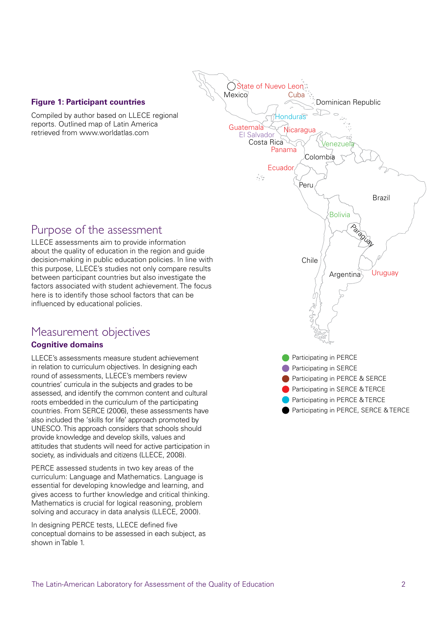#### **Figure 1: Participant countries**

Compiled by author based on LLECE regional reports. Outlined map of Latin America retrieved from www.worldatlas.com

## Purpose of the assessment

LLECE assessments aim to provide information about the quality of education in the region and guide decision-making in public education policies. In line with this purpose, LLECE's studies not only compare results between participant countries but also investigate the factors associated with student achievement. The focus here is to identify those school factors that can be influenced by educational policies.

# Measurement objectives

#### **Cognitive domains**

LLECE's assessments measure student achievement in relation to curriculum objectives. In designing each round of assessments, LLECE's members review countries' curricula in the subjects and grades to be assessed, and identify the common content and cultural roots embedded in the curriculum of the participating countries. From SERCE (2006), these assessments have also included the 'skills for life' approach promoted by UNESCO. This approach considers that schools should provide knowledge and develop skills, values and attitudes that students will need for active participation in society, as individuals and citizens (LLECE, 2008).

PERCE assessed students in two key areas of the curriculum: Language and Mathematics. Language is essential for developing knowledge and learning, and gives access to further knowledge and critical thinking. Mathematics is crucial for logical reasoning, problem solving and accuracy in data analysis (LLECE, 2000).

In designing PERCE tests, LLECE defined five conceptual domains to be assessed in each subject, as shown in [Table 1.](#page-2-0)

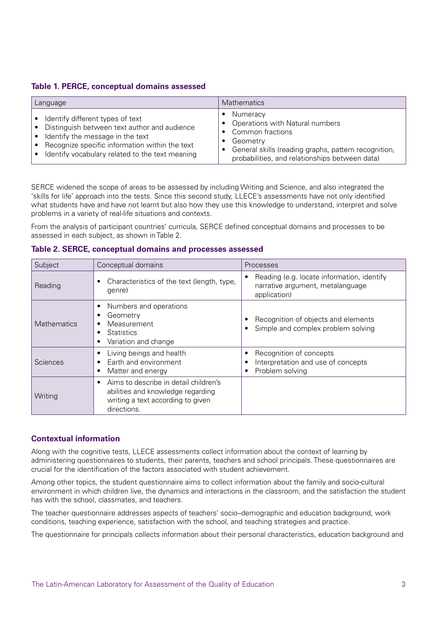<span id="page-2-0"></span>

| Table 1. PERCE, conceptual domains assessed |  |
|---------------------------------------------|--|
|---------------------------------------------|--|

| Language                                                                                                                                                                                                                                                                      | <b>Mathematics</b>                                                                                                                                                                    |
|-------------------------------------------------------------------------------------------------------------------------------------------------------------------------------------------------------------------------------------------------------------------------------|---------------------------------------------------------------------------------------------------------------------------------------------------------------------------------------|
| Identify different types of text<br>Distinguish between text author and audience<br>$\bullet$<br>Identify the message in the text<br>$\bullet$<br>Recognize specific information within the text<br>$\bullet$<br>Identify vocabulary related to the text meaning<br>$\bullet$ | Numeracy<br>Operations with Natural numbers<br>Common fractions<br>Geometry<br>General skills (reading graphs, pattern recognition,<br>probabilities, and relationships between data) |

SERCE widened the scope of areas to be assessed by including Writing and Science, and also integrated the 'skills for life' approach into the tests. Since this second study, LLECE's assessments have not only identified what students have and have not learnt but also how they use this knowledge to understand, interpret and solve problems in a variety of real-life situations and contexts.

From the analysis of participant countries' curricula, SERCE defined conceptual domains and processes to be assessed in each subject, as shown in [Table 2.](#page-2-1)

#### <span id="page-2-1"></span>**Table 2. SERCE, conceptual domains and processes assessed**

| Subject            | Conceptual domains                                                                                                                          | Processes                                                                                      |
|--------------------|---------------------------------------------------------------------------------------------------------------------------------------------|------------------------------------------------------------------------------------------------|
| Reading            | Characteristics of the text (length, type,<br>$\bullet$<br>genre)                                                                           | Reading (e.g. locate information, identify<br>narrative argument, metalanguage<br>application) |
| <b>Mathematics</b> | Numbers and operations<br>٠<br>Geometry<br>٠<br>Measurement<br>٠<br><b>Statistics</b><br>$\bullet$<br>Variation and change<br>٠             | Recognition of objects and elements<br>Simple and complex problem solving                      |
| <b>Sciences</b>    | Living beings and health<br>$\bullet$<br>Earth and environment<br>$\bullet$<br>Matter and energy<br>$\bullet$                               | Recognition of concepts<br>Interpretation and use of concepts<br>Problem solving               |
| Writing            | Aims to describe in detail children's<br>$\bullet$<br>abilities and knowledge regarding<br>writing a text according to given<br>directions. |                                                                                                |

#### **Contextual information**

Along with the cognitive tests, LLECE assessments collect information about the context of learning by administering questionnaires to students, their parents, teachers and school principals. These questionnaires are crucial for the identification of the factors associated with student achievement.

Among other topics, the student questionnaire aims to collect information about the family and socio-cultural environment in which children live, the dynamics and interactions in the classroom, and the satisfaction the student has with the school, classmates, and teachers.

The teacher questionnaire addresses aspects of teachers' socio–demographic and education background, work conditions, teaching experience, satisfaction with the school, and teaching strategies and practice.

The questionnaire for principals collects information about their personal characteristics, education background and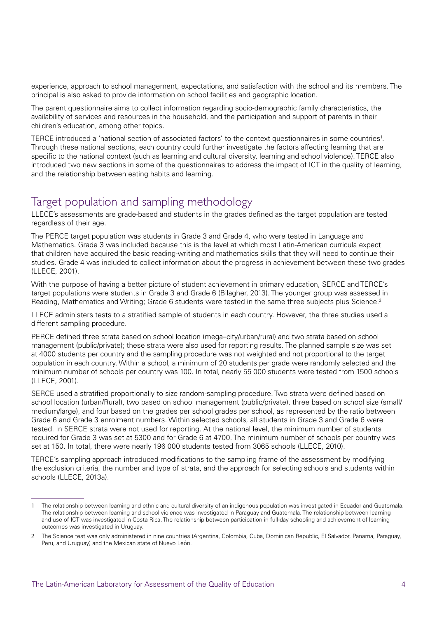experience, approach to school management, expectations, and satisfaction with the school and its members. The principal is also asked to provide information on school facilities and geographic location.

The parent questionnaire aims to collect information regarding socio-demographic family characteristics, the availability of services and resources in the household, and the participation and support of parents in their children's education, among other topics.

TERCE introduced a 'national section of associated factors' to the context questionnaires in some countries<sup>1</sup>. Through these national sections, each country could further investigate the factors affecting learning that are specific to the national context (such as learning and cultural diversity, learning and school violence). TERCE also introduced two new sections in some of the questionnaires to address the impact of ICT in the quality of learning, and the relationship between eating habits and learning.

## Target population and sampling methodology

LLECE's assessments are grade-based and students in the grades defined as the target population are tested regardless of their age.

The PERCE target population was students in Grade 3 and Grade 4, who were tested in Language and Mathematics. Grade 3 was included because this is the level at which most Latin-American curricula expect that children have acquired the basic reading-writing and mathematics skills that they will need to continue their studies. Grade 4 was included to collect information about the progress in achievement between these two grades (LLECE, 2001).

With the purpose of having a better picture of student achievement in primary education, SERCE and TERCE's target populations were students in Grade 3 and Grade 6 (Bilagher, 2013). The younger group was assessed in Reading, Mathematics and Writing; Grade 6 students were tested in the same three subjects plus Science.<sup>2</sup>

LLECE administers tests to a stratified sample of students in each country. However, the three studies used a different sampling procedure.

PERCE defined three strata based on school location (mega–city/urban/rural) and two strata based on school management (public/private); these strata were also used for reporting results. The planned sample size was set at 4000 students per country and the sampling procedure was not weighted and not proportional to the target population in each country. Within a school, a minimum of 20 students per grade were randomly selected and the minimum number of schools per country was 100. In total, nearly 55 000 students were tested from 1500 schools (LLECE, 2001).

SERCE used a stratified proportionally to size random-sampling procedure. Two strata were defined based on school location (urban/Rural), two based on school management (public/private), three based on school size (small/ medium/large), and four based on the grades per school grades per school, as represented by the ratio between Grade 6 and Grade 3 enrolment numbers. Within selected schools, all students in Grade 3 and Grade 6 were tested. In SERCE strata were not used for reporting. At the national level, the minimum number of students required for Grade 3 was set at 5300 and for Grade 6 at 4700. The minimum number of schools per country was set at 150. In total, there were nearly 196 000 students tested from 3065 schools (LLECE, 2010).

TERCE's sampling approach introduced modifications to the sampling frame of the assessment by modifying the exclusion criteria, the number and type of strata, and the approach for selecting schools and students within schools (LLECE, 2013a).

<sup>1</sup> The relationship between learning and ethnic and cultural diversity of an indigenous population was investigated in Ecuador and Guatemala. The relationship between learning and school violence was investigated in Paraguay and Guatemala. The relationship between learning and use of ICT was investigated in Costa Rica. The relationship between participation in full-day schooling and achievement of learning outcomes was investigated in Uruguay.

<sup>2</sup> The Science test was only administered in nine countries (Argentina, Colombia, Cuba, Dominican Republic, El Salvador, Panama, Paraguay, Peru, and Uruguay) and the Mexican state of Nuevo León.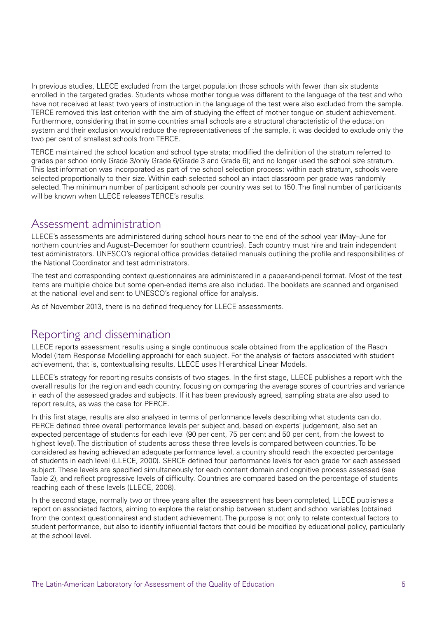In previous studies, LLECE excluded from the target population those schools with fewer than six students enrolled in the targeted grades. Students whose mother tongue was different to the language of the test and who have not received at least two years of instruction in the language of the test were also excluded from the sample. TERCE removed this last criterion with the aim of studying the effect of mother tongue on student achievement. Furthermore, considering that in some countries small schools are a structural characteristic of the education system and their exclusion would reduce the representativeness of the sample, it was decided to exclude only the two per cent of smallest schools from TERCE.

TERCE maintained the school location and school type strata; modified the definition of the stratum referred to grades per school (only Grade 3/only Grade 6/Grade 3 and Grade 6); and no longer used the school size stratum. This last information was incorporated as part of the school selection process: within each stratum, schools were selected proportionally to their size. Within each selected school an intact classroom per grade was randomly selected. The minimum number of participant schools per country was set to 150. The final number of participants will be known when LLECE releases TERCE's results.

### Assessment administration

LLECE's assessments are administered during school hours near to the end of the school year (May–June for northern countries and August–December for southern countries). Each country must hire and train independent test administrators. UNESCO's regional office provides detailed manuals outlining the profile and responsibilities of the National Coordinator and test administrators.

The test and corresponding context questionnaires are administered in a paper-and-pencil format. Most of the test items are multiple choice but some open-ended items are also included. The booklets are scanned and organised at the national level and sent to UNESCO's regional office for analysis.

As of November 2013, there is no defined frequency for LLECE assessments.

# Reporting and dissemination

LLECE reports assessment results using a single continuous scale obtained from the application of the Rasch Model (Item Response Modelling approach) for each subject. For the analysis of factors associated with student achievement, that is, contextualising results, LLECE uses Hierarchical Linear Models.

LLECE's strategy for reporting results consists of two stages. In the first stage, LLECE publishes a report with the overall results for the region and each country, focusing on comparing the average scores of countries and variance in each of the assessed grades and subjects. If it has been previously agreed, sampling strata are also used to report results, as was the case for PERCE.

In this first stage, results are also analysed in terms of performance levels describing what students can do. PERCE defined three overall performance levels per subject and, based on experts' judgement, also set an expected percentage of students for each level (90 per cent, 75 per cent and 50 per cent, from the lowest to highest level). The distribution of students across these three levels is compared between countries. To be considered as having achieved an adequate performance level, a country should reach the expected percentage of students in each level (LLECE, 2000). SERCE defined four performance levels for each grade for each assessed subject. These levels are specified simultaneously for each content domain and cognitive process assessed (see [Table 2\)](#page-2-1), and reflect progressive levels of difficulty. Countries are compared based on the percentage of students reaching each of these levels (LLECE, 2008).

In the second stage, normally two or three years after the assessment has been completed, LLECE publishes a report on associated factors, aiming to explore the relationship between student and school variables (obtained from the context questionnaires) and student achievement. The purpose is not only to relate contextual factors to student performance, but also to identify influential factors that could be modified by educational policy, particularly at the school level.